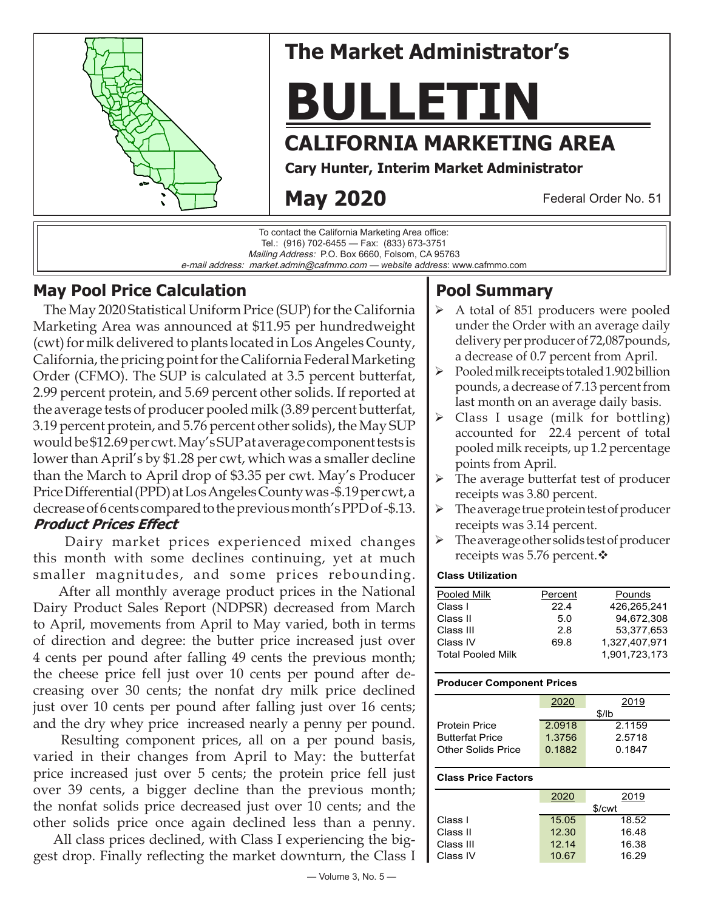

# **The Market Administrator's**

**BULLETIN**

## **CALIFORNIA MARKETING AREA**

**Cary Hunter, Interim Market Administrator**

## **May 2020**

Federal Order No. 51

To contact the California Marketing Area office: Tel.: (916) 702-6455 — Fax: (833) 673-3751 Mailing Address: P.O. Box 6660, Folsom, CA 95763 e-mail address: market.admin@cafmmo.com — *website address*: www.cafmmo.com

## **May Pool Price Calculation**

 The May 2020 Statistical Uniform Price (SUP) for the California Marketing Area was announced at \$11.95 per hundredweight (cwt) for milk delivered to plants located in Los Angeles County, California, the pricing point for the California Federal Marketing Order (CFMO). The SUP is calculated at 3.5 percent butterfat, 2.99 percent protein, and 5.69 percent other solids. If reported at the average tests of producer pooled milk (3.89 percent butterfat, 3.19 percent protein, and 5.76 percent other solids), the May SUP would be \$12.69 per cwt. May's SUP at average component tests is lower than April's by \$1.28 per cwt, which was a smaller decline than the March to April drop of \$3.35 per cwt. May's Producer Price Differential (PPD) at Los Angeles County was -\$.19 per cwt, a decrease of 6 cents compared to the previous month's PPD of -\$.13. **Product Prices Effect**

 Dairy market prices experienced mixed changes this month with some declines continuing, yet at much smaller magnitudes, and some prices rebounding.

 After all monthly average product prices in the National Dairy Product Sales Report (NDPSR) decreased from March to April, movements from April to May varied, both in terms of direction and degree: the butter price increased just over 4 cents per pound after falling 49 cents the previous month; the cheese price fell just over 10 cents per pound after decreasing over 30 cents; the nonfat dry milk price declined just over 10 cents per pound after falling just over 16 cents; and the dry whey price increased nearly a penny per pound.

 Resulting component prices, all on a per pound basis, varied in their changes from April to May: the butterfat price increased just over 5 cents; the protein price fell just over 39 cents, a bigger decline than the previous month; the nonfat solids price decreased just over 10 cents; and the other solids price once again declined less than a penny.

 All class prices declined, with Class I experiencing the biggest drop. Finally reflecting the market downturn, the Class I

## **Pool Summary**

- $\triangleright$  A total of 851 producers were pooled under the Order with an average daily delivery per producer of 72,087pounds, a decrease of 0.7 percent from April.
- $\triangleright$  Pooled milk receipts totaled 1.902 billion pounds, a decrease of 7.13 percent from last month on an average daily basis.
- Class I usage (milk for bottling) accounted for 22.4 percent of total pooled milk receipts, up 1.2 percentage points from April.
- $\triangleright$  The average butterfat test of producer receipts was 3.80 percent.
- $\triangleright$  The average true protein test of producer receipts was 3.14 percent.
- $\triangleright$  The average other solids test of producer receipts was 5.76 percent. $\cdot$

#### **Class Utilization**

| Pooled Milk              | Percent | Pounds        |
|--------------------------|---------|---------------|
| Class I                  | 22.4    | 426.265.241   |
| Class II                 | 5.0     | 94.672.308    |
| Class III                | 2.8     | 53.377.653    |
| Class IV                 | 69.8    | 1.327.407.971 |
| <b>Total Pooled Milk</b> |         | 1.901.723.173 |

#### **Producer Component Prices**

|                        | 2020   | 2019   |  |  |
|------------------------|--------|--------|--|--|
|                        | \$/lb  |        |  |  |
| <b>Protein Price</b>   | 2.0918 | 2.1159 |  |  |
| <b>Butterfat Price</b> | 1.3756 | 2.5718 |  |  |
| Other Solids Price     | 0.1882 | 0.1847 |  |  |
|                        |        |        |  |  |

#### **Class Price Factors**

|           | 2020   | 2019  |  |
|-----------|--------|-------|--|
|           | \$/cwt |       |  |
| Class I   | 15.05  | 18.52 |  |
| Class II  | 12.30  | 16.48 |  |
| Class III | 12.14  | 16.38 |  |
| Class IV  | 10.67  | 16.29 |  |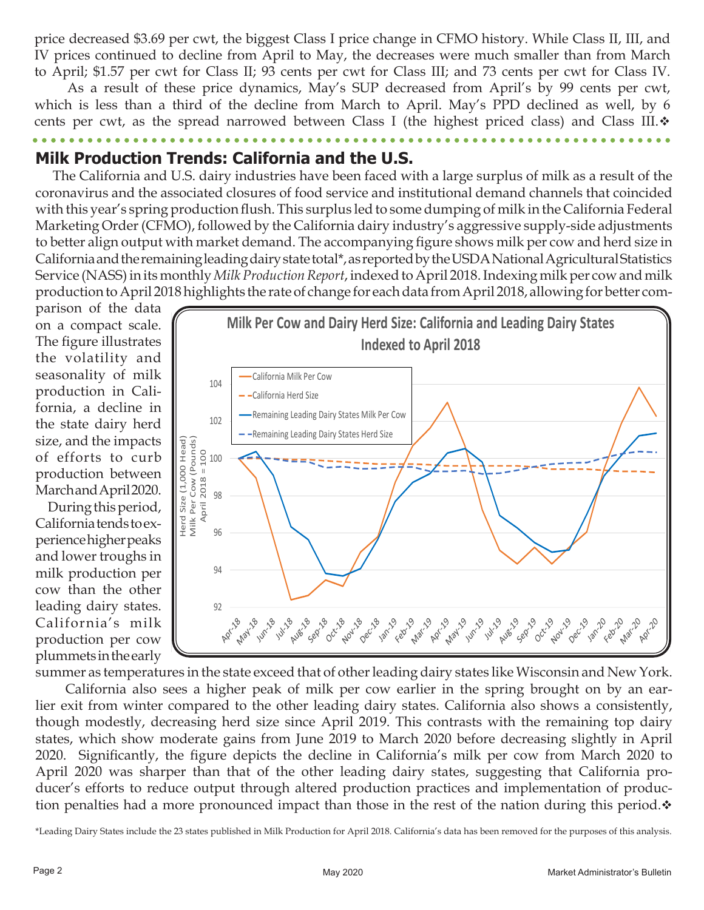price decreased \$3.69 per cwt, the biggest Class I price change in CFMO history. While Class II, III, and IV prices continued to decline from April to May, the decreases were much smaller than from March to April; \$1.57 per cwt for Class II; 93 cents per cwt for Class III; and 73 cents per cwt for Class IV.

 As a result of these price dynamics, May's SUP decreased from April's by 99 cents per cwt, which is less than a third of the decline from March to April. May's PPD declined as well, by 6 cents per cwt, as the spread narrowed between Class I (the highest priced class) and Class III. $\dot{\mathbf{v}}$ 

**Milk Production Trends: California and the U.S.**

 The California and U.S. dairy industries have been faced with a large surplus of milk as a result of the coronavirus and the associated closures of food service and institutional demand channels that coincided with this year's spring production flush. This surplus led to some dumping of milk in the California Federal Marketing Order (CFMO), followed by the California dairy industry's aggressive supply-side adjustments to better align output with market demand. The accompanying figure shows milk per cow and herd size in California and the remaining leading dairy state total\*, as reported by the USDA National Agricultural Statistics Service (NASS) in its monthly *Milk Production Report*, indexed to April 2018. Indexing milk per cow and milk production to April 2018 highlights the rate of change for each data from April 2018, allowing for better com-

parison of the data on a compact scale. The figure illustrates the volatility and seasonality of milk production in California, a decline in the state dairy herd size, and the impacts of efforts to curb production between March and April 2020.

 During this period, California tends to experience higher peaks and lower troughs in milk production per cow than the other leading dairy states. California's milk production per cow plummets in the early



summer as temperatures in the state exceed that of other leading dairy states like Wisconsin and New York. California also sees a higher peak of milk per cow earlier in the spring brought on by an ear-

lier exit from winter compared to the other leading dairy states. California also shows a consistently, though modestly, decreasing herd size since April 2019. This contrasts with the remaining top dairy states, which show moderate gains from June 2019 to March 2020 before decreasing slightly in April 2020. Significantly, the figure depicts the decline in California's milk per cow from March 2020 to April 2020 was sharper than that of the other leading dairy states, suggesting that California producer's efforts to reduce output through altered production practices and implementation of production penalties had a more pronounced impact than those in the rest of the nation during this period. $\dot{\mathbf{v}}$ 

\*Leading Dairy States include the 23 states published in Milk Production for April 2018. California's data has been removed for the purposes of this analysis.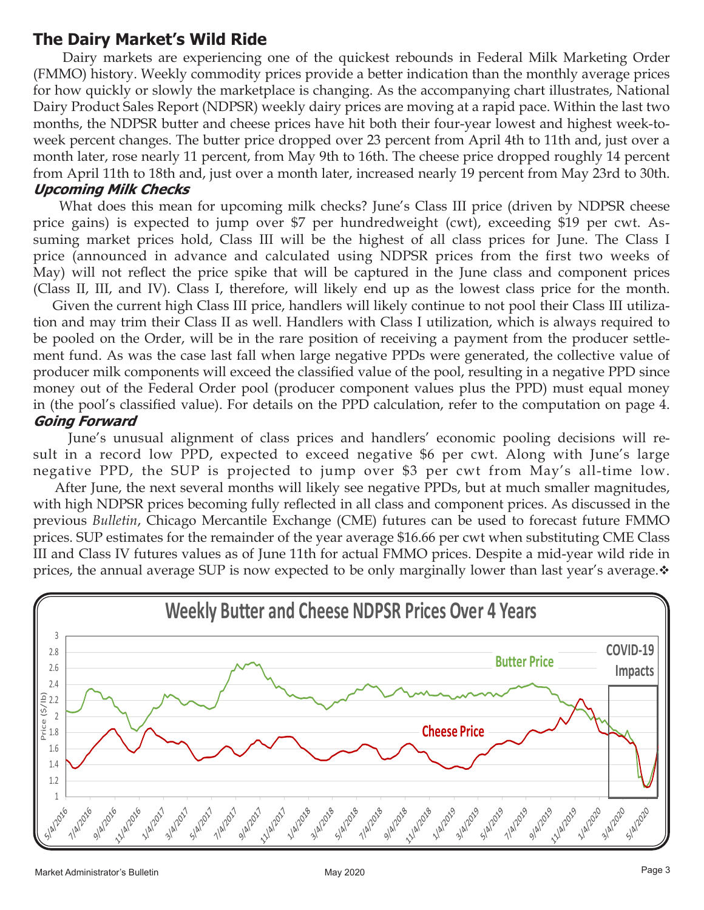### **The Dairy Market's Wild Ride**

 Dairy markets are experiencing one of the quickest rebounds in Federal Milk Marketing Order (FMMO) history. Weekly commodity prices provide a better indication than the monthly average prices for how quickly or slowly the marketplace is changing. As the accompanying chart illustrates, National Dairy Product Sales Report (NDPSR) weekly dairy prices are moving at a rapid pace. Within the last two months, the NDPSR butter and cheese prices have hit both their four-year lowest and highest week-toweek percent changes. The butter price dropped over 23 percent from April 4th to 11th and, just over a month later, rose nearly 11 percent, from May 9th to 16th. The cheese price dropped roughly 14 percent from April 11th to 18th and, just over a month later, increased nearly 19 percent from May 23rd to 30th. **Upcoming Milk Checks**

 What does this mean for upcoming milk checks? June's Class III price (driven by NDPSR cheese price gains) is expected to jump over \$7 per hundredweight (cwt), exceeding \$19 per cwt. Assuming market prices hold, Class III will be the highest of all class prices for June. The Class I price (announced in advance and calculated using NDPSR prices from the first two weeks of May) will not reflect the price spike that will be captured in the June class and component prices (Class II, III, and IV). Class I, therefore, will likely end up as the lowest class price for the month.

 Given the current high Class III price, handlers will likely continue to not pool their Class III utilization and may trim their Class II as well. Handlers with Class I utilization, which is always required to be pooled on the Order, will be in the rare position of receiving a payment from the producer settlement fund. As was the case last fall when large negative PPDs were generated, the collective value of producer milk components will exceed the classified value of the pool, resulting in a negative PPD since money out of the Federal Order pool (producer component values plus the PPD) must equal money in (the pool's classified value). For details on the PPD calculation, refer to the computation on page 4. **Going Forward**

June's unusual alignment of class prices and handlers' economic pooling decisions will result in a record low PPD, expected to exceed negative \$6 per cwt. Along with June's large negative PPD, the SUP is projected to jump over \$3 per cwt from May's all-time low.

 After June, the next several months will likely see negative PPDs, but at much smaller magnitudes, with high NDPSR prices becoming fully reflected in all class and component prices. As discussed in the previous *Bulletin*, Chicago Mercantile Exchange (CME) futures can be used to forecast future FMMO prices. SUP estimates for the remainder of the year average \$16.66 per cwt when substituting CME Class III and Class IV futures values as of June 11th for actual FMMO prices. Despite a mid-year wild ride in prices, the annual average SUP is now expected to be only marginally lower than last year's average. $\cdot$